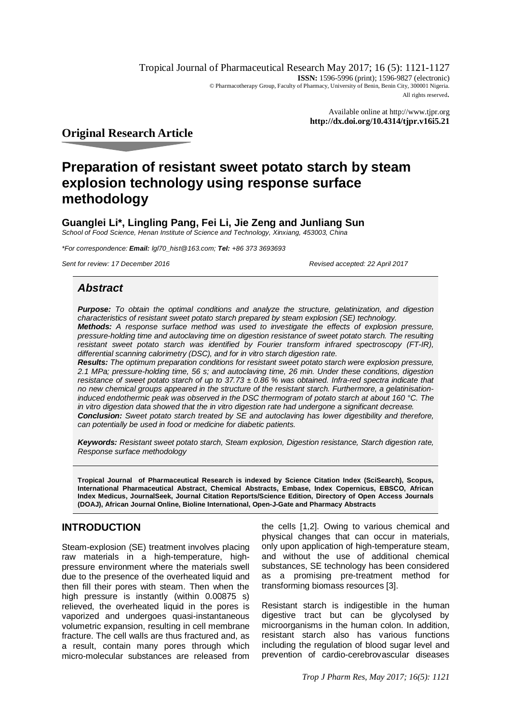Tropical Journal of Pharmaceutical Research May 2017; 16 (5): 1121-1127 **ISSN:** 1596-5996 (print): 1596-9827 (electronic) © Pharmacotherapy Group, Faculty of Pharmacy, University of Benin, Benin City, 300001 Nigeria. All rights reserved.

> Available online at <http://www.tjpr.org> **<http://dx.doi.org/10.4314/tjpr.v16i5.21>**

**Original Research Article**

# **Preparation of resistant sweet potato starch by steam explosion technology using response surface methodology**

# **Guanglei Li\*, Lingling Pang, Fei Li, Jie Zeng and Junliang Sun**

*School of Food Science, Henan Institute of Science and Technology, Xinxiang, 453003, China*

*\*For correspondence: Email: [lgl70\\_hist@163.com;](mailto:lgl70_hist@163.com;) Tel: +86 373 3693693*

*Sent for review: 17 December 2016 Revised accepted: 22 April 2017*

# *Abstract*

*Purpose: To obtain the optimal conditions and analyze the structure, gelatinization, and digestion characteristics of resistant sweet potato starch prepared by steam explosion (SE) technology.*

*Methods: A response surface method was used to investigate the effects of explosion pressure, pressure-holding time and autoclaving time on digestion resistance of sweet potato starch. The resulting resistant sweet potato starch was identified by Fourier transform infrared spectroscopy (FT-IR), differential scanning calorimetry (DSC), and for in vitro starch digestion rate.*

*Results: The optimum preparation conditions for resistant sweet potato starch were explosion pressure, 2.1 MPa; pressure-holding time, 56 s; and autoclaving time, 26 min. Under these conditions, digestion resistance of sweet potato starch of up to 37.73 ± 0.86 % was obtained. Infra-red spectra indicate that no new chemical groups appeared in the structure of the resistant starch. Furthermore, a gelatinisationinduced endothermic peak was observed in the DSC thermogram of potato starch at about 160 °C. The in vitro digestion data showed that the in vitro digestion rate had undergone a significant decrease. Conclusion: Sweet potato starch treated by SE and autoclaving has lower digestibility and therefore, can potentially be used in food or medicine for diabetic patients.* 

*Keywords: Resistant sweet potato starch, Steam explosion, Digestion resistance, Starch digestion rate, Response surface methodology*

**Tropical Journal of Pharmaceutical Research is indexed by Science Citation Index (SciSearch), Scopus, International Pharmaceutical Abstract, Chemical Abstracts, Embase, Index Copernicus, EBSCO, African Index Medicus, JournalSeek, Journal Citation Reports/Science Edition, Directory of Open Access Journals (DOAJ), African Journal Online, Bioline International, Open-J-Gate and Pharmacy Abstracts**

# **INTRODUCTION**

Steam-explosion (SE) treatment involves placing raw materials in a high-temperature, highpressure environment where the materials swell due to the presence of the overheated liquid and then fill their pores with steam. Then when the high pressure is instantly (within 0.00875 s) relieved, the overheated liquid in the pores is vaporized and undergoes quasi-instantaneous volumetric expansion, resulting in cell membrane fracture. The cell walls are thus fractured and, as a result, contain many pores through which micro-molecular substances are released from

the cells [1,2]. Owing to various chemical and physical changes that can occur in materials, only upon application of high-temperature steam, and without the use of additional chemical substances, SE technology has been considered as a promising pre-treatment method for transforming biomass resources [3].

Resistant starch is indigestible in the human digestive tract but can be glycolysed by microorganisms in the human colon. In addition, resistant starch also has various functions including the regulation of blood sugar level and prevention of cardio-cerebrovascular diseases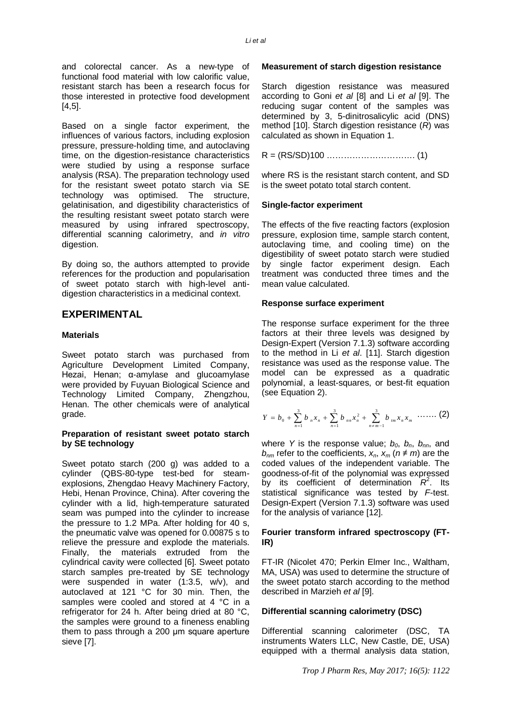and colorectal cancer. As a new-type of functional food material with low calorific value, resistant starch has been a research focus for those interested in protective food development [4,5].

Based on a single factor experiment, the influences of various factors, including explosion pressure, pressure-holding time, and autoclaving time, on the digestion-resistance characteristics were studied by using a response surface analysis (RSA). The preparation technology used for the resistant sweet potato starch via SE technology was optimised. The structure, gelatinisation, and digestibility characteristics of the resulting resistant sweet potato starch were measured by using infrared spectroscopy, differential scanning calorimetry, and *in vitro* digestion.

By doing so, the authors attempted to provide references for the production and popularisation of sweet potato starch with high-level antidigestion characteristics in a medicinal context.

# **EXPERIMENTAL**

#### **Materials**

Sweet potato starch was purchased from Agriculture Development Limited Company, Hezai, Henan; α-amylase and glucoamylase were provided by Fuyuan Biological Science and Technology Limited Company, Zhengzhou, Henan. The other chemicals were of analytical grade.

#### **Preparation of resistant sweet potato starch by SE technology**

Sweet potato starch (200 g) was added to a cylinder (QBS-80-type test-bed for steamexplosions, Zhengdao Heavy Machinery Factory, Hebi, Henan Province, China). After covering the cylinder with a lid, high-temperature saturated seam was pumped into the cylinder to increase the pressure to 1.2 MPa. After holding for 40 s, the pneumatic valve was opened for 0.00875 s to relieve the pressure and explode the materials. Finally, the materials extruded from the cylindrical cavity were collected [6]. Sweet potato starch samples pre-treated by SE technology were suspended in water (1:3.5, w/v), and autoclaved at 121 °C for 30 min. Then, the samples were cooled and stored at 4 °C in a refrigerator for 24 h. After being dried at 80 °C, the samples were ground to a fineness enabling them to pass through a 200 μm square aperture sieve [7].

#### **Measurement of starch digestion resistance**

Starch digestion resistance was measured according to Goni *et al* [8] and Li *et al* [9]. The reducing sugar content of the samples was determined by 3, 5-dinitrosalicylic acid (DNS) method [10]. Starch digestion resistance (*R*) was calculated as shown in Equation 1.

R = (RS/SD)100 …………………………. (1)

where RS is the resistant starch content, and SD is the sweet potato total starch content.

#### **Single-factor experiment**

The effects of the five reacting factors (explosion pressure, explosion time, sample starch content, autoclaving time, and cooling time) on the digestibility of sweet potato starch were studied by single factor experiment design. Each treatment was conducted three times and the mean value calculated.

#### **Response surface experiment**

The response surface experiment for the three factors at their three levels was designed by Design-Expert (Version 7.1.3) software according to the method in Li *et al*. [11]. Starch digestion resistance was used as the response value. The model can be expressed as a quadratic polynomial, a least-squares, or best-fit equation (see Equation 2).

$$
Y = b_0 + \sum_{n=1}^{3} b_n x_n + \sum_{n=1}^{3} b_{nn} x_n^2 + \sum_{n=m-1}^{3} b_{nm} x_n x_m \cdots \cdots (2)
$$

where *Y* is the response value;  $b_0$ ,  $b_n$ ,  $b_{nn}$ , and *b*<sub>nm</sub> refer to the coefficients,  $x_n$ ,  $x_m$  ( $n \neq m$ ) are the coded values of the independent variable. The goodness-of-fit of the polynomial was expressed by its coefficient of determination *R* 2 . Its statistical significance was tested by *F*-test. Design-Expert (Version 7.1.3) software was used for the analysis of variance [12].

### **Fourier transform infrared spectroscopy (FT-IR)**

FT-IR (Nicolet 470; Perkin Elmer Inc., Waltham, MA, USA) was used to determine the structure of the sweet potato starch according to the method described in Marzieh *et al* [9].

#### **Differential scanning calorimetry (DSC)**

Differential scanning calorimeter (DSC, TA instruments Waters LLC, New Castle, DE, USA) equipped with a thermal analysis data station,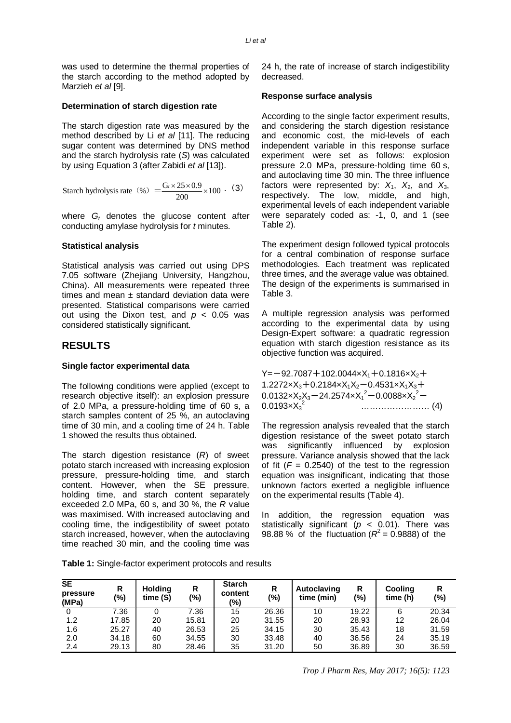was used to determine the thermal properties of the starch according to the method adopted by Marzieh *et al* [9].

#### **Determination of starch digestion rate**

The starch digestion rate was measured by the method described by Li *et al* [11]. The reducing sugar content was determined by DNS method and the starch hydrolysis rate (*S*) was calculated by using Equation 3 (after Zabidi *et al* [13]).

Starth hydrolysis rate (
$$
\% = \frac{G_x \times 25 \times 0.9}{200} \times 100
$$
. (3)

where *G<sup>t</sup>* denotes the glucose content after conducting amylase hydrolysis for *t* minutes.

#### **Statistical analysis**

Statistical analysis was carried out using DPS 7.05 software (Zhejiang University, Hangzhou, China). All measurements were repeated three times and mean  $\pm$  standard deviation data were presented. Statistical comparisons were carried out using the Dixon test, and  $p < 0.05$  was considered statistically significant.

# **RESULTS**

#### **Single factor experimental data**

The following conditions were applied (except to research objective itself): an explosion pressure of 2.0 MPa, a pressure-holding time of 60 s, a starch samples content of 25 %, an autoclaving time of 30 min, and a cooling time of 24 h. Table 1 showed the results thus obtained.

The starch digestion resistance (*R*) of sweet potato starch increased with increasing explosion pressure, pressure-holding time, and starch content. However, when the SE pressure, holding time, and starch content separately exceeded 2.0 MPa, 60 s, and 30 %, the *R* value was maximised. With increased autoclaving and cooling time, the indigestibility of sweet potato starch increased, however, when the autoclaving time reached 30 min, and the cooling time was

24 h, the rate of increase of starch indigestibility decreased.

#### **Response surface analysis**

According to the single factor experiment results, and considering the starch digestion resistance and economic cost, the mid-levels of each independent variable in this response surface experiment were set as follows: explosion pressure 2.0 MPa, pressure-holding time 60 s, and autoclaving time 30 min. The three influence factors were represented by:  $X_1$ ,  $X_2$ , and  $X_3$ , respectively. The low, middle, and high, experimental levels of each independent variable were separately coded as: -1, 0, and 1 (see Table 2).

The experiment design followed typical protocols for a central combination of response surface methodologies. Each treatment was replicated three times, and the average value was obtained. The design of the experiments is summarised in Table 3.

A multiple regression analysis was performed according to the experimental data by using Design-Expert software: a quadratic regression equation with starch digestion resistance as its objective function was acquired.

| $Y = -92.7087 + 102.0044 \times X_1 + 0.1816 \times X_2 +$                                    |  |
|-----------------------------------------------------------------------------------------------|--|
| $1.2272 \times X_3 + 0.2184 \times X_1 X_2 - 0.4531 \times X_1 X_3 +$                         |  |
| $0.0132$ x $X_2X_3$ $-$ 24.2574x $X_1^2$ $-$ 0.0088x $X_2^2$ $-$                              |  |
| $0.0193 \times X_3^2$<br>$\cdots \cdots \cdots \cdots \cdots \cdots \cdots \cdots \cdots (4)$ |  |

The regression analysis revealed that the starch digestion resistance of the sweet potato starch was significantly influenced by explosion pressure. Variance analysis showed that the lack of fit  $(F = 0.2540)$  of the test to the regression equation was insignificant, indicating that those unknown factors exerted a negligible influence on the experimental results (Table 4).

In addition, the regression equation was statistically significant (*p* < 0.01). There was 98.88 % of the fluctuation ( $R^2 = 0.9888$ ) of the

| <b>SE</b><br>pressure<br>(MPa) | R<br>(%) | <b>Holding</b><br>time (S) | R<br>(%) | <b>Starch</b><br>content<br>(%) | R<br>(%) | Autoclaving<br>time (min) | R<br>(%) | Cooling<br>time (h) | (%)   |
|--------------------------------|----------|----------------------------|----------|---------------------------------|----------|---------------------------|----------|---------------------|-------|
| 0                              | 7.36     |                            | 7.36     | 15                              | 26.36    | 10                        | 19.22    | 6                   | 20.34 |
| 1.2                            | 17.85    | 20                         | 15.81    | 20                              | 31.55    | 20                        | 28.93    | 12                  | 26.04 |
| 1.6                            | 25.27    | 40                         | 26.53    | 25                              | 34.15    | 30                        | 35.43    | 18                  | 31.59 |
| 2.0                            | 34.18    | 60                         | 34.55    | 30                              | 33.48    | 40                        | 36.56    | 24                  | 35.19 |
| 2.4                            | 29.13    | 80                         | 28.46    | 35                              | 31.20    | 50                        | 36.89    | 30                  | 36.59 |

**Table 1:** Single-factor experiment protocols and results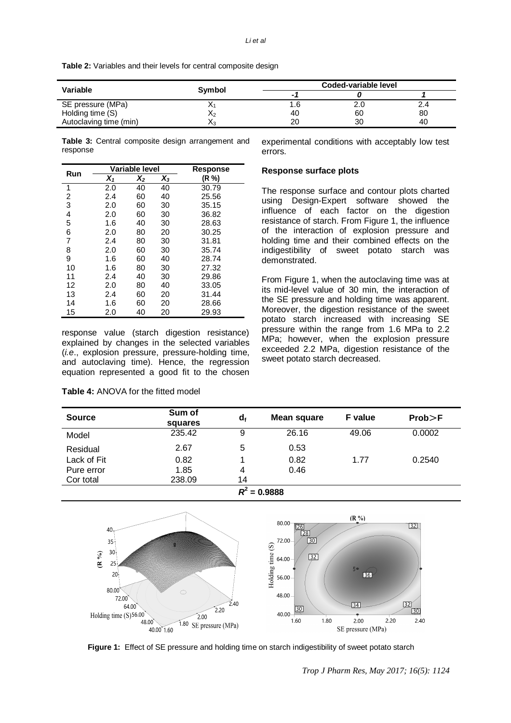**Table 2:** Variables and their levels for central composite design

| Variable               | Symbol          | Coded-variable level |     |    |  |
|------------------------|-----------------|----------------------|-----|----|--|
|                        |                 | -                    |     |    |  |
| SE pressure (MPa)      |                 |                      | 2.0 |    |  |
| Holding time (S)       | $\mathcal{N}_2$ | 40                   | 60  | 80 |  |
| Autoclaving time (min) | ΛЗ              | 20                   | 30  | 40 |  |

**Table 3:** Central composite design arrangement and response

| Run |                | Variable level | Response |       |
|-----|----------------|----------------|----------|-------|
|     | $\mathsf{X}_1$ | $X_2$          | $X_3$    | (R %) |
| 1   | 2.0            | 40             | 40       | 30.79 |
| 2   | 2.4            | 60             | 40       | 25.56 |
| 3   | 2.0            | 60             | 30       | 35.15 |
| 4   | 2.0            | 60             | 30       | 36.82 |
| 5   | 1.6            | 40             | 30       | 28.63 |
| 6   | 2.0            | 80             | 20       | 30.25 |
| 7   | 2.4            | 80             | 30       | 31.81 |
| 8   | 2.0            | 60             | 30       | 35.74 |
| 9   | 1.6            | 60             | 40       | 28.74 |
| 10  | 1.6            | 80             | 30       | 27.32 |
| 11  | 2.4            | 40             | 30       | 29.86 |
| 12  | 2.0            | 80             | 40       | 33.05 |
| 13  | 2.4            | 60             | 20       | 31.44 |
| 14  | 1.6            | 60             | 20       | 28.66 |
| 15  | 2.0            | 40             | 20       | 29.93 |

response value (starch digestion resistance) explained by changes in the selected variables (*i.e*., explosion pressure, pressure-holding time, and autoclaving time). Hence, the regression equation represented a good fit to the chosen

**Table 4: ANOVA for the fitted model** 

experimental conditions with acceptably low test errors.

#### **Response surface plots**

The response surface and contour plots charted using Design-Expert software showed the influence of each factor on the digestion resistance of starch. From Figure 1, the influence of the interaction of explosion pressure and holding time and their combined effects on the indigestibility of sweet potato starch was demonstrated.

From Figure 1, when the autoclaving time was at its mid-level value of 30 min, the interaction of the SE pressure and holding time was apparent. Moreover, the digestion resistance of the sweet potato starch increased with increasing SE pressure within the range from 1.6 MPa to 2.2 MPa; however, when the explosion pressure exceeded 2.2 MPa, digestion resistance of the sweet potato starch decreased.

| <b>Source</b> | Sum of<br>squares | $d_{f}$ | Mean square | <b>F</b> value | Prob > F |
|---------------|-------------------|---------|-------------|----------------|----------|
| Model         | 235.42            | 9       | 26.16       | 49.06          | 0.0002   |
| Residual      | 2.67              | 5       | 0.53        |                |          |
| Lack of Fit   | 0.82              |         | 0.82        | 1.77           | 0.2540   |
| Pure error    | 1.85              | 4       | 0.46        |                |          |
| Cor total     | 238.09            | 14      |             |                |          |
|               |                   | $\sim$  |             |                |          |





 **Figure 1:** Effect of SE pressure and holding time on starch indigestibility of sweet potato starch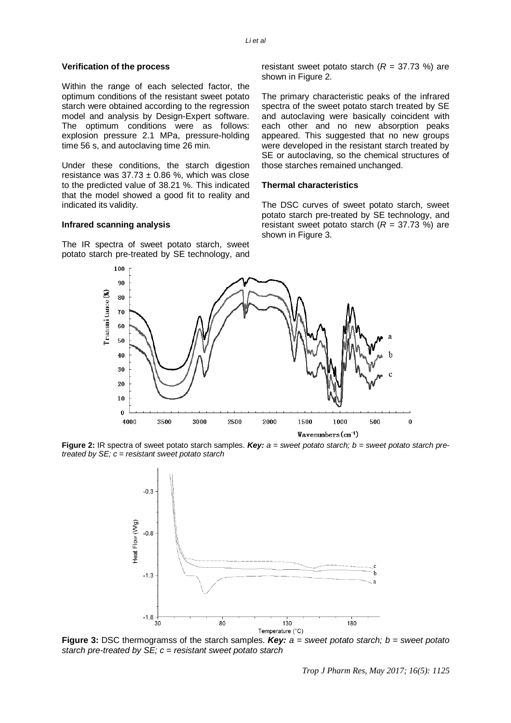### **Verification of the process**

Within the range of each selected factor, the optimum conditions of the resistant sweet potato starch were obtained according to the regression model and analysis by Design-Expert software. The optimum conditions were as follows: explosion pressure 2.1 MPa, pressure-holding time 56 s, and autoclaving time 26 min.

Under these conditions, the starch digestion resistance was  $37.73 \pm 0.86$  %, which was close to the predicted value of 38.21 %. This indicated that the model showed a good fit to reality and indicated its validity.

#### **Infrared scanning analysis**

The IR spectra of sweet potato starch, sweet potato starch pre-treated by SE technology, and resistant sweet potato starch (*R* = 37.73 %) are shown in Figure 2.

The primary characteristic peaks of the infrared spectra of the sweet potato starch treated by SE and autoclaving were basically coincident with each other and no new absorption peaks appeared. This suggested that no new groups were developed in the resistant starch treated by SE or autoclaving, so the chemical structures of those starches remained unchanged.

#### **Thermal characteristics**

The DSC curves of sweet potato starch, sweet potato starch pre-treated by SE technology, and resistant sweet potato starch (*R* = 37.73 %) are shown in Figure 3.



**Figure 2:** IR spectra of sweet potato starch samples. *Key: a = sweet potato starch; b = sweet potato starch pretreated by SE; c = resistant sweet potato starch*



**Figure 3:** DSC thermogramss of the starch samples. *Key: a = sweet potato starch; b = sweet potato starch pre-treated by SE; c = resistant sweet potato starch*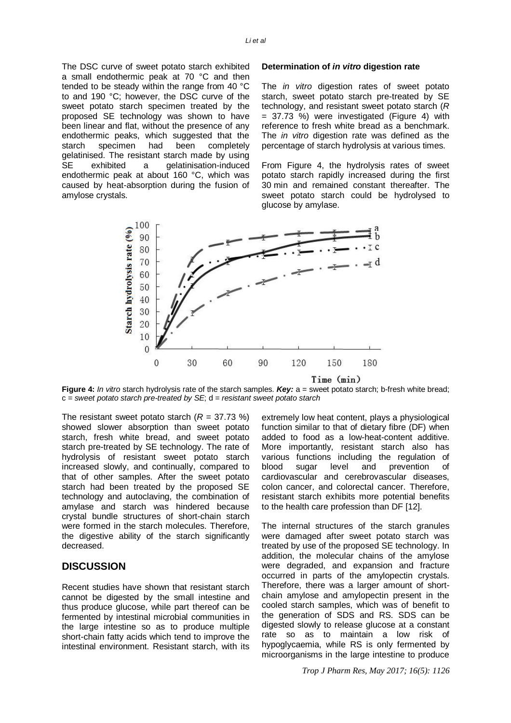The DSC curve of sweet potato starch exhibited a small endothermic peak at 70 °C and then tended to be steady within the range from 40 °C to and 190 °C; however, the DSC curve of the sweet potato starch specimen treated by the proposed SE technology was shown to have been linear and flat, without the presence of any endothermic peaks, which suggested that the starch specimen had been completely gelatinised. The resistant starch made by using SE exhibited a gelatinisation-induced endothermic peak at about 160 °C, which was caused by heat-absorption during the fusion of amylose crystals.

#### **Determination of** *in vitro* **digestion rate**

The *in vitro* digestion rates of sweet potato starch, sweet potato starch pre-treated by SE technology, and resistant sweet potato starch (*R* = 37.73 %) were investigated (Figure 4) with reference to fresh white bread as a benchmark. The *in vitro* digestion rate was defined as the percentage of starch hydrolysis at various times.

From Figure 4, the hydrolysis rates of sweet potato starch rapidly increased during the first 30 min and remained constant thereafter. The sweet potato starch could be hydrolysed to glucose by amylase.



Time (min)

**Figure 4:** *In vitro* starch hydrolysis rate of the starch samples. *Key:* a = sweet potato starch; b-fresh white bread; c = *sweet potato starch pre-treated by SE*; d = *resistant sweet potato starch*

The resistant sweet potato starch  $(R = 37.73 \%)$ showed slower absorption than sweet potato starch, fresh white bread, and sweet potato starch pre-treated by SE technology. The rate of hydrolysis of resistant sweet potato starch increased slowly, and continually, compared to that of other samples. After the sweet potato starch had been treated by the proposed SE technology and autoclaving, the combination of amylase and starch was hindered because crystal bundle structures of short-chain starch were formed in the starch molecules. Therefore, the digestive ability of the starch significantly decreased.

### **DISCUSSION**

Recent studies have shown that resistant starch cannot be digested by the small intestine and thus produce glucose, while part thereof can be fermented by intestinal microbial communities in the large intestine so as to produce multiple short-chain fatty acids which tend to improve the intestinal environment. Resistant starch, with its

extremely low heat content, plays a physiological function similar to that of dietary fibre (DF) when added to food as a low-heat-content additive. More importantly, resistant starch also has various functions including the regulation of blood sugar level and prevention of cardiovascular and cerebrovascular diseases, colon cancer, and colorectal cancer. Therefore, resistant starch exhibits more potential benefits to the health care profession than DF [12].

The internal structures of the starch granules were damaged after sweet potato starch was treated by use of the proposed SE technology. In addition, the molecular chains of the amylose were degraded, and expansion and fracture occurred in parts of the amylopectin crystals. Therefore, there was a larger amount of shortchain amylose and amylopectin present in the cooled starch samples, which was of benefit to the generation of SDS and RS. SDS can be digested slowly to release glucose at a constant rate so as to maintain a low risk of hypoglycaemia, while RS is only fermented by microorganisms in the large intestine to produce